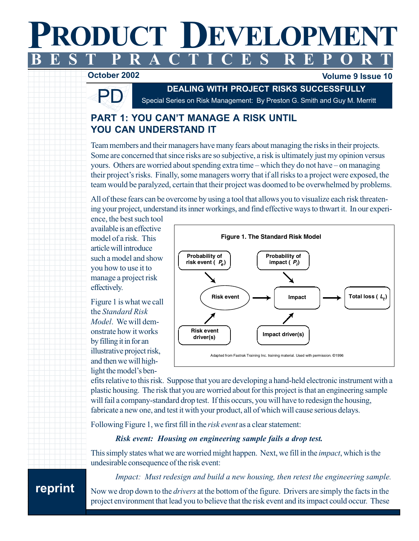### PRODUCT DEV ELOPMENT BEST PR ACTICES R EPOR  $\mathbf{T}$

#### 1234567891234567891234567891234567891234567891234567891234567891234567891234567891234567891234567891234567891 - -



lume 9 Issue 10

**DEALING WITH PROJECT RISKS SUCCESSFULLY**<br>Special Series on Risk Management: By Preston G. Smith and Guy M. Merritt

# PART 1: YOU CAN'T MANAGE A RISK UNTIL YOU CAN UNDERSTAND IT

Team members and their managers have many fears about managing the risks in their projects. Some are concerned that since risks are so subjective, a risk is ultimately just my opinion versus yours. Others are worried about spending extra time – which they do not have – on managing their project's risks. Finally, some managers worry that if all risks to a project were exposed, the team would be paralyzed, certain that their project was doomed to be overwhelmed by problems.

All of these fears can be overcome by using a tool that allows you to visualize each risk threatening your project, understand its inner workings, and find effective ways to thwart it. In our experi-

ence, the best such tool available is an effective model of a risk. This article will introduce such a model and show you how to use it to manage a project risk effectively.

Figure 1 is what we call the *Standard Risk* Model. We will demonstrate how it works by filling it in for an illustrative project risk, and then we will highlight the model's ben-



efits relative to this risk. Suppose that you are developing a hand-held electronic instrument with a plastic housing. The risk that you are worried about for this project is that an engineering sample will fail a company-standard drop test. If this occurs, you will have to redesign the housing, fabricate a new one, and test it with your product, all of which will cause serious delays.

Following Figure 1, we first fill in the risk event as a clear statement:

## Risk event: Housing on engineering sample fails a drop test.

This simply states what we are worried might happen. Next, we fill in the *impact*, which is the undesirable consequence of the risk event:

Impact: Must redesign and build a new housing, then retest the engineering sample.

1 2 123456789012 Now we drop down to the *drivers* at the bottom of the figure. Drivers are simply the facts in the project environment that lead you to believe that the risk event and its impact could occur. These

## 12345678901234578901234578901234578901234578901234578901234578901234578901234578901234578901234578901234578901 | reprint

12345678901234567890123456789012345678901234567890123456789012345678901234567890123456789012345678901234567890

 $1.2$  2  $2.2$  2  $2.2$  2  $2.2$  2  $2.2$  2  $2.2$  2  $2.2$  2  $2.2$  2  $2.2$  2  $2.2$  2  $2.2$  2  $2.2$  2  $2.2$  2  $2.2$  2  $2.2$  2  $2.2$  2  $2.2$  2  $2.2$  2  $2.2$  2  $2.2$  2  $2.2$  2  $2.2$  2  $2.2$  2  $2.2$  2  $2.2$  2  $2.2$  2  $2.2$  2  $2.2$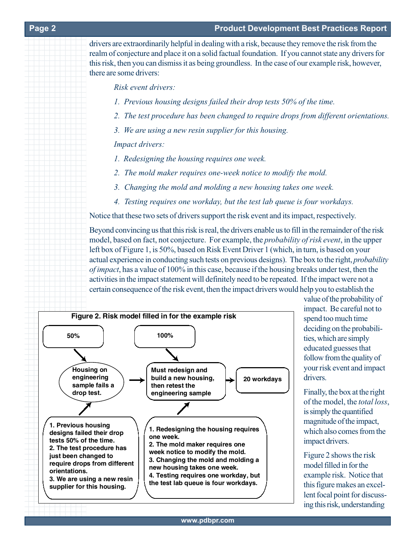#### 123456789012 Degree and the state of the state of the state of the state of the state of the state of the state of the state of the state of the state of the state of the state of the state of the state of the state of the

drivers are extraordinarily helpful in dealing with a risk, because they remove the risk from the realm of conjecture and place it on a solid factual foundation. If you cannot state any drivers for this risk, then you can dismiss it as being groundless. In the case of our example risk, however, there are some drivers:

Risk event drivers:

- 1. Previous housing designs failed their drop tests 50% of the time.
- 2. The test procedure has been changed to require drops from different orientations.
- 3. We are using a new resin supplier for this housing.

## Impact drivers:

- 1. Redesigning the housing requires one week.
- 2. The mold maker requires one-week notice to modify the mold.
- 3. Changing the mold and molding a new housing takes one week.
- 4. Testing requires one workday, but the test lab queue is four workdays.

Notice that these two sets of drivers support the risk event and its impact, respectively.

Beyond convincing us that this risk is real, the drivers enable us to fill in the remainder of the risk model, based on fact, not conjecture. For example, the *probability of risk event*, in the upper left box of Figure 1, is 50%, based on Risk Event Driver 1 (which, in turn, is based on your actual experience in conducting such tests on previous designs). The box to the right, *probability* of impact, has a value of 100% in this case, because if the housing breaks under test, then the activities in the impact statement will definitely need to be repeated. If the impact were not a certain consequence of the risk event, then the impact drivers would help you to establish the



value of the probability of impact. Be careful not to spend too much time deciding on the probabilities, which are simply educated guesses that follow from the quality of your risk event and impact drivers.

Finally, the box at the right of the model, the total loss, is simply the quantified magnitude of the impact, which also comes from the impact drivers.

Figure 2 shows the risk model filled in for the example risk. Notice that this figure makes an excellent focal point for discussing this risk, understanding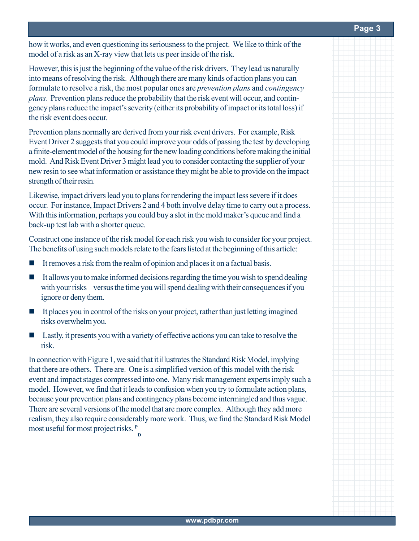#### **Page 3**

how it works, and even questioning its seriousness to the project. We like to think of the model of a risk as an X-ray view that lets us peer inside of the risk.

However, this is just the beginning of the value of the risk drivers. They lead us naturally into means of resolving the risk. Although there are many kinds of action plans you can formulate to resolve a risk, the most popular ones are *prevention plans* and *contingency* plans. Prevention plans reduce the probability that the risk event will occur, and contingency plans reduce the impact's severity (either its probability of impact or its total loss) if the risk event does occur.

Prevention plans normally are derived from your risk event drivers. For example, Risk Event Driver 2 suggests that you could improve your odds of passing the test by developing a finite-element model of the housing for the new loading conditions before making the initial mold. And Risk Event Driver 3 might lead you to consider contacting the supplier of your new resin to see what information or assistance they might be able to provide on the impact strength of their resin.

Likewise, impact drivers lead you to plans for rendering the impact less severe if it does occur. For instance, Impact Drivers 2 and 4 both involve delay time to carry out a process. With this information, perhaps you could buy a slot in the mold maker's queue and find a back-up test lab with a shorter queue.

Construct one instance of the risk model for each risk you wish to consider for your project. The benefits of using such models relate to the fears listed at the beginning of this article:

- $\blacksquare$  It removes a risk from the realm of opinion and places it on a factual basis.
- $\blacksquare$  It allows you to make informed decisions regarding the time you wish to spend dealing with your risks – versus the time you will spend dealing with their consequences if you ignore or deny them.
- It places you in control of the risks on your project, rather than just letting imagined risks overwhelm you.
- Lastly, it presents you with a variety of effective actions you can take to resolve the risk.

In connection with Figure 1, we said that it illustrates the Standard Risk Model, implying that there are others. There are. One is a simplified version of this model with the risk event and impact stages compressed into one. Many risk management experts imply such a model. However, we find that it leads to confusion when you try to formulate action plans, because your prevention plans and contingency plans become intermingled and thus vague. There are several versions of the model that are more complex. Although they add more realism, they also require considerably more work. Thus, we find the Standard Risk Model most useful for most project risks. <sup>P</sup> D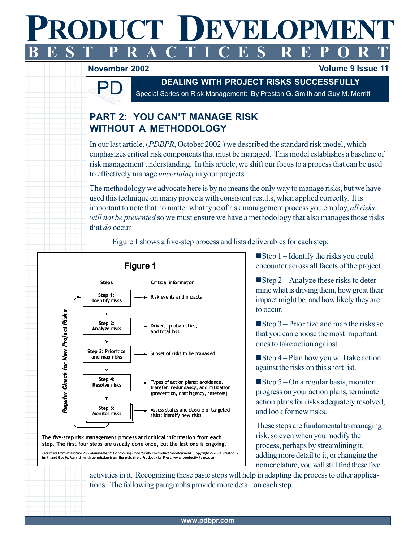#### **PRODUCT DE** 1234567890123 1234567890123 1234567890123 VET ODPIVER **N** ı PR ODUCT DEV ELOPMENT BEST PR ACTICES R EPOR  $\mathbf{T}$

#### 1234567891234567891234578912345789123457891234578912345789123457891234578912345789123457891345789134 November 2002 **and Server Street Server Server Street Server Server Street Server Server Street Server Server**



123456789123456789123457891234578912345789123457891234578912345789123457891234578 1 3

1234567890123

# **DEALING WITH PROJECT RISKS SUCCESSFULLY**<br>Special Series on Risk Management: By Preston G. Smith and Guy M. Merritt

# PART 2: YOU CAN'T MANAGE RISK WITHOUT A METHODOLOGY

In our last article, (PDBPR, October 2002) we described the standard risk model, which emphasizes critical risk components that must be managed. This model establishes a baseline of risk management understanding. In this article, we shift our focus to a process that can be used to effectively manage *uncertainty* in your projects.

The methodology we advocate here is by no means the only way to manage risks, but we have used this technique on many projects with consistent results, when applied correctly. It is important to note that no matter what type of risk management process you employ, all risks will not be prevented so we must ensure we have a methodology that also manages those risks that  $do$  occur.

Figure 1 shows a five-step process and lists deliverables for each step:



 $\Box$  The five-step risk management process and critical information from each  $\frac{1}{\sqrt{2}}$  step. The first four steps are usually done once, but the last one is ongoing. ■ Reprinted from *Proactive R isk Management: Controlling Uncertainty in Product Development*, Copyright © 2002 Preston G.<br>Smith and Guy M. Merritt, with permission from the publisher, Productivity Press, www.productivity  $\blacksquare$  Step 1 – Identify the risks you could encounter across all facets of the project.

lume 9 Issue 11

 $\blacksquare$  Step 2 – Analyze these risks to determine what is driving them, how great their impact might be, and how likely they are to occur.

 $\blacksquare$  Step 3 – Prioritize and map the risks so that you can choose the most important ones to take action against.

Step 4 – Plan how you will take action against the risks on this short list.

 $\blacksquare$ Step 5 – On a regular basis, monitor progress on your action plans, terminate action plans for risks adequately resolved, and look for new risks.

These steps are fundamental to managing risk, so even when you modify the process, perhaps by streamlining it, adding more detail to it, or changing the nomenclature, you will still find these five

activities in it. Recognizing these basic steps will help in adapting the process to other applications. The following paragraphs provide more detail on each step.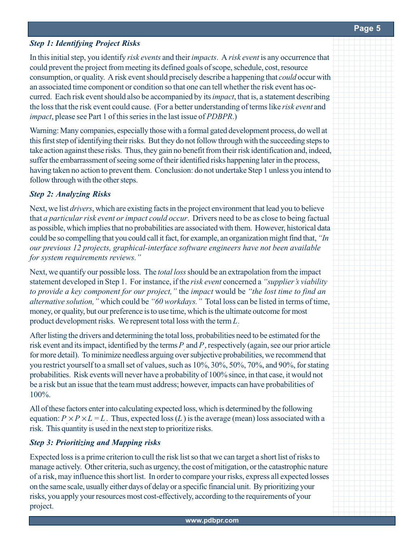## **Step 1: Identifying Project Risks**

In this initial step, you identify risk events and their impacts. A risk event is any occurrence that could prevent the project from meeting its defined goals of scope, schedule, cost, resource consumption, or quality. A risk event should precisely describe a happening that could occur with an associated time component or condition so that one can tell whether the risk event has occurred. Each risk event should also be accompanied by its *impact*, that is, a statement describing the loss that the risk event could cause. (For a better understanding of terms like risk event and impact, please see Part 1 of this series in the last issue of PDBPR.)

Warning: Many companies, especially those with a formal gated development process, do well at this first step of identifying their risks. But they do not follow through with the succeeding steps to take action against these risks. Thus, they gain no benefit from their risk identification and, indeed, suffer the embarrassment of seeing some of their identified risks happening later in the process, having taken no action to prevent them. Conclusion: do not undertake Step 1 unless you intend to follow through with the other steps.

## **Step 2: Analyzing Risks**

Next, we list *drivers*, which are existing facts in the project environment that lead you to believe that a particular risk event or impact could occur. Drivers need to be as close to being factual as possible, which implies that no probabilities are associated with them. However, historical data could be so compelling that you could call it fact, for example, an organization might find that, "In our previous 12 projects, graphical-interface software engineers have not been available for system requirements reviews."

Next, we quantify our possible loss. The *total loss* should be an extrapolation from the impact statement developed in Step 1. For instance, if the risk event concerned a "supplier's viability to provide a key component for our project," the impact would be "the lost time to find an alternative solution," which could be "60 workdays." Total loss can be listed in terms of time, money, or quality, but our preference is to use time, which is the ultimate outcome for most product development risks. We represent total loss with the term  $L_i$ 

After listing the drivers and determining the total loss, probabilities need to be estimated for the risk event and its impact, identified by the terms  $P_{\parallel}$  and  $P_{\parallel}$ , respectively (again, see our prior article for more detail). To minimize needless arguing over subjective probabilities, we recommend that you restrict yourself to a small set of values, such as  $10\%, 30\%, 50\%, 70\%,$  and  $90\%,$  for stating probabilities. Risk events will never have a probability of 100% since, in that case, it would not be a risk but an issue that the team must address; however, impacts can have probabilities of 100%.

All of these factors enter into calculating expected loss, which is determined by the following equation:  $P \times P \times L = L$ . Thus, expected loss (L) is the average (mean) loss associated with a risk. This quantity is used in the next step to prioritize risks.

## **Step 3: Prioritizing and Mapping risks**

Expected loss is a prime criterion to cull the risk list so that we can target a short list of risks to manage actively. Other criteria, such as urgency, the cost of mitigation, or the catastrophic nature of a risk, may influence this short list. In order to compare your risks, express all expected losses on the same scale, usually either days of delay or a specific financial unit. By prioritizing your risks, you apply your resources most cost-effectively, according to the requirements of your project.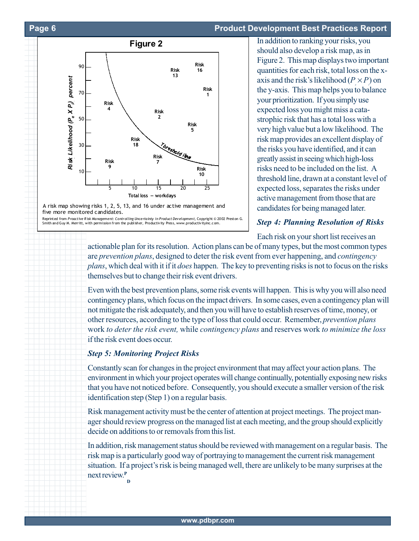#### 1234567890123 Page 6 and the state of the state of the state of the state of the state of the state of the state of the state of the state of the state of the state of the state of the state of the state of the state of th

1234567890123

<u>1234 - Paris Carlos Barbara, poeta esperanto-poeta esperanto-poeta esperanto-poeta esperanto-poeta esperanto-</u>

#### duct Development Best Practices Report





1234567890123 Smith and Guy M. Merritt, with permission from the publisher, Productivity Press,

In addition to ranking your risks, you should also develop a risk map, as in Figure 2. This map displays two important quantities for each risk, total loss on the xaxis and the risk's likelihood ( $P_{\xi} \times P$ ) on the y-axis. This map helps you to balance your prioritization. If you simply use expected loss you might miss a catastrophic risk that has a total loss with a very high value but a low likelihood. The risk map provides an excellent display of the risks you have identified, and it can greatly assist in seeing which high-loss risks need to be included on the list. A threshold line, drawn at a constant level of expected loss, separates the risks under active management from those that are candidates for being managed later.

## **Step 4: Planning Resolution of Risks**

Each risk on your short list receives an

12345678901234578901234578912345789123457891234578912345789123457891234578912345789123457891234578912345789123 1 3 123456789123456789123457891234578912345789123457891234578912345789123457891234578 1 3 actionable plan for its resolution. Action plans can be of many types, but the most common types are *prevention plans*, designed to deter the risk event from ever happening, and *contingency* plans, which deal with it if it does happen. The key to preventing risks is not to focus on the risks themselves but to change their risk event drivers.

1234567891234567891234578912345789123457891234578912345789123457891234578912345789123457891345789134 1 3 123456789123456789123457891234578912345789123457891234578912345789123457891234578 1 3 1 3 1234567890123456789123457891234578912345789123457891234578912345789123457891234578912345789123457891 1 3 Even with the best prevention plans, some risk events will happen. This is why you will also need contingency plans, which focus on the impact drivers. In some cases, even a contingency plan will not mitigate the risk adequately, and then you will have to establish reserves of time, money, or other resources, according to the type of loss that could occur. Remember, prevention plans work to deter the risk event, while contingency plans and reserves work to minimize the loss if the risk event does occur.

#### 1234567891234567891234578912345789123457891234578912345789123457891234578912345789123457891234578913457891345 **Step 5: Monitoring Project Risks**

12345678912345678912345789123457891234578912345789123457891234578912345789123457891234578912345789123457891234 123456789123456789123456789123456789123456789123456789123456789123456789123456789123456 1234567891234578912345789123457891234578912345789123457891234578912345789123457891234578913457891345789134578 1234567891234567891234578912345789123457891234578912345789123457891234578912345789123457891234578913 Constantly scan for changes in the project environment that may affect your action plans. The environment in which your project operates will change continually, potentially exposing new risks that you have not noticed before. Consequently, you should execute a smaller version of the risk identification step (Step 1) on a regular basis.

1234567891234567891234578912345789123457891234578912345789123457891234578912345789123457891234578912345789123 1234567890123 Risk management activity must be the center of attention at project meetings. The project manager should review progress on the managed list at each meeting, and the group should explicitly decide on additions to or removals from this list.

1234567891234567891234578912345789123457891234578912345789123457891234578912345789123457891345789134 1234567891234578912345789123457891234578912345789123457891234578912345789123457891234578913457891345789134578 1 3 12345678912345678912345789123457891234578912345789123457891234578912345789123457891234578912345789123457891234 In addition, risk management status should be reviewed with management on a regular basis. The risk map is a particularly good way of portraying to management the current risk management situation. If a project's risk is being managed well, there are unlikely to be many surprises at the next review.<sup>P</sup> D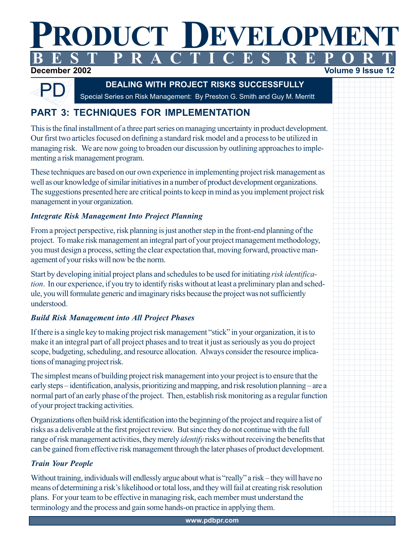#### /1 K.N 1 123456789012 123456789012 1 2 1 A T PRODUCT DEVELOPMENT BEST PR ACTICES R EPOR  $\mathbf{T}$

12 olume 9 Issue 12345678901234567891234578912345789123457891234578912345789123457891234578912345789123457891234578912345789123 1234567891234567891234567891234567891234567891234567891234567891234567891234567891234567891234567891234567891 12345678901234567891234578912345789123457891234578912345789123457891234578912345789123457891234578912345789123 1234567891234567891234567891234567891234567891234567891234567891234567891234567891234567891234567891234567891 1 2

## December 2002



**DEALING WITH PROJECT RISKS SUCCESSFULLY**<br>Special Series on Risk Management: By Preston G. Smith and Guy M. Merritt

# **PART 3: TECHNIQUES FOR IMPLEMENTATION**

This is the final installment of a three part series on managing uncertainty in product development. Our first two articles focused on defining a standard risk model and a process to be utilized in managing risk. We are now going to broaden our discussion by outlining approaches to implementing a risk management program.

These techniques are based on our own experience in implementing project risk management as well as our knowledge of similar initiatives in a number of product development organizations. The suggestions presented here are critical points to keep in mind as you implement project risk management in your organization.

# **Integrate Risk Management Into Project Planning**

From a project perspective, risk planning is just another step in the front-end planning of the project. To make risk management an integral part of your project management methodology, you must design a process, setting the clear expectation that, moving forward, proactive management of your risks will now be the norm.

Start by developing initial project plans and schedules to be used for initiating risk identification. In our experience, if you try to identify risks without at least a preliminary plan and schedule, you will formulate generic and imaginary risks because the project was not sufficiently understood.

# Build Risk Management into All Project Phases

If there is a single key to making project risk management "stick" in your organization, it is to make it an integral part of all project phases and to treat it just as seriously as you do project scope, budgeting, scheduling, and resource allocation. Always consider the resource implications of managing project risk.

The simplest means of building project risk management into your project is to ensure that the early steps—identification, analysis, prioritizing and mapping, and risk resolution planning—are a normal part of an early phase of the project. Then, establish risk monitoring as a regular function of your project tracking activities.

Organizations often build risk identification into the beginning of the project and require a list of risks as a deliverable at the first project review. But since they do not continue with the full range of risk management activities, they merely *identify* risks without receiving the benefits that can be gained from effective risk management through the later phases of product development.

# **Train Your People**

Without training, individuals will endlessly argue about what is "really" a risk - they will have no means of determining a risk's likelihood or total loss, and they will fail at creating risk resolution plans. For your team to be effective in managing risk, each member must understand the terminology and the process and gain some hands-on practice in applying them.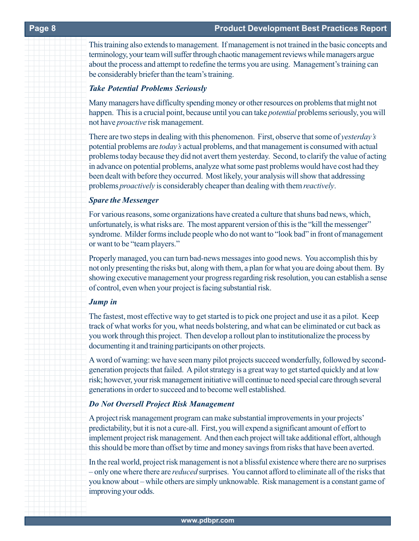1234567890123456789123457891234578912345789123457891234578912345789123457891234578912345789134578913 This training also extends to management. If management is not trained in the basic concepts and terminology, your team will suffer through chaotic management reviews while managers argue about the process and attempt to redefine the terms you are using. Management's training can be considerably briefer than the team's training.

#### Take Potential Problems Seriously

Many managers have difficulty spending money or other resources on problems that might not happen. This is a crucial point, because until you can take *potential* problems seriously, you will not have *proactive* risk management.

1234567890123457891234578912345789123457891234578912345789123457891234578912345789123457891234578912345789123 There are two steps in dealing with this phenomenon. First, observe that some of yesterday's potential problems are today's actual problems, and that management is consumed with actual problems today because they did not avert them yesterday. Second, to clarify the value of acting in advance on potential problems, analyze what some past problems would have cost had they been dealt with before they occurred. Most likely, your analysis will show that addressing problems *proactively* is considerably cheaper than dealing with them *reactively*.

#### **Spare the Messenger**

For various reasons, some organizations have created a culture that shuns bad news, which, unfortunately, is what risks are. The most apparent version of this is the "kill the messenger" syndrome. Milder forms include people who do not want to "look bad" in front of management or want to be "team players."

1234567891234567891234578912345789123457891234578912345789123457891234578912345789123457891345789134 Properly managed, you can turn bad-news messages into good news. You accomplish this by not only presenting the risks but, along with them, a plan for what you are doing about them. By showing executive management your progress regarding risk resolution, you can establish a sense of control, even when your project is facing substantial risk.

#### 1234567890123456789123457891234578912345789123457891234578912345789123457891234578912345789123457891 Jump in

1234567890123 1234567891234567891234578912345789123457891234578912345789123457891234578912345789123457891345789134 The fastest, most effective way to get started is to pick one project and use it as a pilot. Keep track of what works for you, what needs bolstering, and what can be eliminated or cut back as you work through this project. Then develop a rollout plan to institutionalize the process by documenting it and training participants on other projects.

1 3 A word of warning: we have seen many pilot projects succeed wonderfully, followed by secondgeneration projects that failed. A pilot strategy is a great way to get started quickly and at low risk; however, your risk management initiative will continue to need special care through several generations in order to succeed and to become well established.

#### **Do Not Oversell Project Risk Management**

A project risk management program can make substantial improvements in your projects' predictability, but it is not a cure-all. First, you will expend a significant amount of effort to implement project risk management. And then each project will take additional effort, although this should be more than offset by time and money savings from risks that have been averted.

1 3 In the real world, project risk management is not a blissful existence where there are no surprises - only one where there are *reduced* surprises. You cannot afford to eliminate all of the risks that you know about – while others are simply unknowable. Risk management is a constant game of improving your odds.